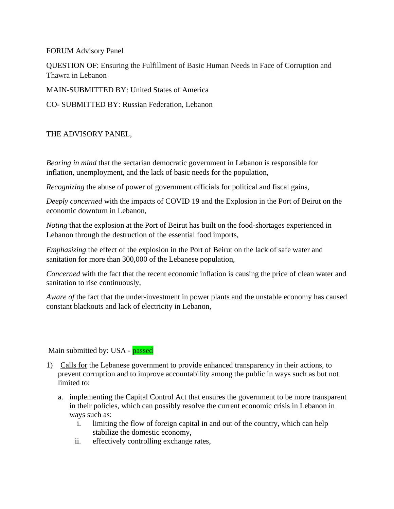FORUM Advisory Panel

QUESTION OF: Ensuring the Fulfillment of Basic Human Needs in Face of Corruption and Thawra in Lebanon

MAIN-SUBMITTED BY: United States of America

CO- SUBMITTED BY: Russian Federation, Lebanon

## THE ADVISORY PANEL,

*Bearing in mind* that the sectarian democratic government in Lebanon is responsible for inflation, unemployment, and the lack of basic needs for the population,

*Recognizing* the abuse of power of government officials for political and fiscal gains,

*Deeply concerned* with the impacts of COVID 19 and the Explosion in the Port of Beirut on the economic downturn in Lebanon,

*Noting* that the explosion at the Port of Beirut has built on the food-shortages experienced in Lebanon through the destruction of the essential food imports,

*Emphasizing* the effect of the explosion in the Port of Beirut on the lack of safe water and sanitation for more than 300,000 of the Lebanese population,

*Concerned* with the fact that the recent economic inflation is causing the price of clean water and sanitation to rise continuously,

*Aware of* the fact that the under-investment in power plants and the unstable economy has caused constant blackouts and lack of electricity in Lebanon,

Main submitted by: USA - passed

- 1) Calls for the Lebanese government to provide enhanced transparency in their actions, to prevent corruption and to improve accountability among the public in ways such as but not limited to:
	- a. implementing the Capital Control Act that ensures the government to be more transparent in their policies, which can possibly resolve the current economic crisis in Lebanon in ways such as:
		- i. limiting the flow of foreign capital in and out of the country, which can help stabilize the domestic economy,
		- ii. effectively controlling exchange rates,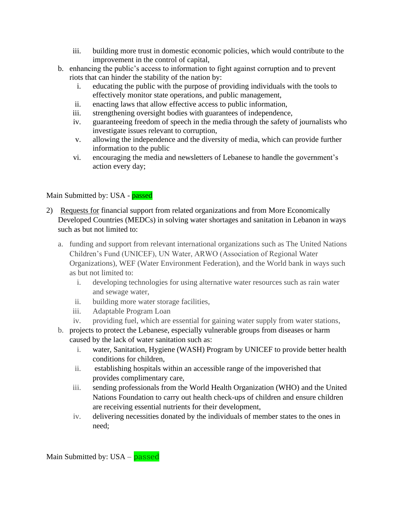- iii. building more trust in domestic economic policies, which would contribute to the improvement in the control of capital,
- b. enhancing the public's access to information to fight against corruption and to prevent riots that can hinder the stability of the nation by:
	- i. educating the public with the purpose of providing individuals with the tools to effectively monitor state operations, and public management,
	- ii. enacting laws that allow effective access to public information,
	- iii. strengthening oversight bodies with guarantees of independence,
	- iv. guaranteeing freedom of speech in the media through the safety of journalists who investigate issues relevant to corruption,
	- v. allowing the independence and the diversity of media, which can provide further information to the public
	- vi. encouraging the media and newsletters of Lebanese to handle the government's action every day;

## Main Submitted by: USA - passed

- 2) Requests for financial support from related organizations and from More Economically Developed Countries (MEDCs) in solving water shortages and sanitation in Lebanon in ways such as but not limited to:
	- a. funding and support from relevant international organizations such as The United Nations Children's Fund (UNICEF), UN Water, ARWO (Association of Regional Water Organizations), WEF (Water Environment Federation), and the World bank in ways such as but not limited to:
		- i. developing technologies for using alternative water resources such as rain water and sewage water,
		- ii. building more water storage facilities,
		- iii. Adaptable Program Loan
		- iv. providing fuel, which are essential for gaining water supply from water stations,
	- b. projects to protect the Lebanese, especially vulnerable groups from diseases or harm caused by the lack of water sanitation such as:
		- i. water, Sanitation, Hygiene (WASH) Program by UNICEF to provide better health conditions for children,
		- ii. establishing hospitals within an accessible range of the impoverished that provides complimentary care,
		- iii. sending professionals from the World Health Organization (WHO) and the United Nations Foundation to carry out health check-ups of children and ensure children are receiving essential nutrients for their development,
		- iv. delivering necessities donated by the individuals of member states to the ones in need;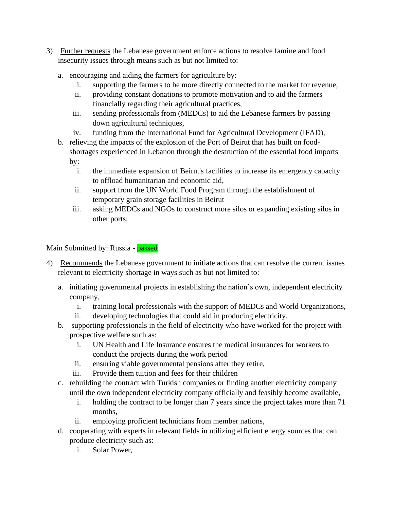- 3) Further requests the Lebanese government enforce actions to resolve famine and food insecurity issues through means such as but not limited to:
	- a. encouraging and aiding the farmers for agriculture by:
		- i. supporting the farmers to be more directly connected to the market for revenue,
		- ii. providing constant donations to promote motivation and to aid the farmers financially regarding their agricultural practices,
		- iii. sending professionals from (MEDCs) to aid the Lebanese farmers by passing down agricultural techniques,
		- iv. funding from the International Fund for Agricultural Development (IFAD),
	- b. relieving the impacts of the explosion of the Port of Beirut that has built on foodshortages experienced in Lebanon through the destruction of the essential food imports by:
		- i. the immediate expansion of Beirut's facilities to increase its emergency capacity to offload humanitarian and economic aid,
		- ii. support from the UN World Food Program through the establishment of temporary grain storage facilities in Beirut
		- iii. asking MEDCs and NGOs to construct more silos or expanding existing silos in other ports;

Main Submitted by: Russia - passed

- 4) Recommends the Lebanese government to initiate actions that can resolve the current issues relevant to electricity shortage in ways such as but not limited to:
	- a. initiating governmental projects in establishing the nation's own, independent electricity company,
		- i. training local professionals with the support of MEDCs and World Organizations,
		- ii. developing technologies that could aid in producing electricity,
	- b. supporting professionals in the field of electricity who have worked for the project with prospective welfare such as:
		- i. UN Health and Life Insurance ensures the medical insurances for workers to conduct the projects during the work period
		- ii. ensuring viable governmental pensions after they retire,
		- iii. Provide them tuition and fees for their children
	- c. rebuilding the contract with Turkish companies or finding another electricity company until the own independent electricity company officially and feasibly become available,
		- i. holding the contract to be longer than 7 years since the project takes more than 71 months,
		- ii. employing proficient technicians from member nations,
	- d. cooperating with experts in relevant fields in utilizing efficient energy sources that can produce electricity such as:
		- i. Solar Power,